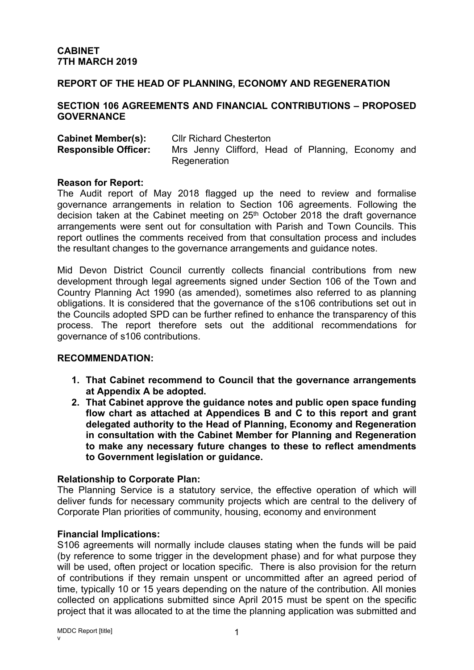### **REPORT OF THE HEAD OF PLANNING, ECONOMY AND REGENERATION**

#### **SECTION 106 AGREEMENTS AND FINANCIAL CONTRIBUTIONS – PROPOSED GOVERNANCE**

| <b>Cabinet Member(s):</b>   | <b>CIIr Richard Chesterton</b> |  |  |  |  |  |                                                   |  |
|-----------------------------|--------------------------------|--|--|--|--|--|---------------------------------------------------|--|
| <b>Responsible Officer:</b> |                                |  |  |  |  |  | Mrs Jenny Clifford, Head of Planning, Economy and |  |
|                             | Regeneration                   |  |  |  |  |  |                                                   |  |

#### **Reason for Report:**

The Audit report of May 2018 flagged up the need to review and formalise governance arrangements in relation to Section 106 agreements. Following the decision taken at the Cabinet meeting on 25th October 2018 the draft governance arrangements were sent out for consultation with Parish and Town Councils. This report outlines the comments received from that consultation process and includes the resultant changes to the governance arrangements and guidance notes.

Mid Devon District Council currently collects financial contributions from new development through legal agreements signed under Section 106 of the Town and Country Planning Act 1990 (as amended), sometimes also referred to as planning obligations. It is considered that the governance of the s106 contributions set out in the Councils adopted SPD can be further refined to enhance the transparency of this process. The report therefore sets out the additional recommendations for governance of s106 contributions.

#### **RECOMMENDATION:**

- **1. That Cabinet recommend to Council that the governance arrangements at Appendix A be adopted.**
- **2. That Cabinet approve the guidance notes and public open space funding flow chart as attached at Appendices B and C to this report and grant delegated authority to the Head of Planning, Economy and Regeneration in consultation with the Cabinet Member for Planning and Regeneration to make any necessary future changes to these to reflect amendments to Government legislation or guidance.**

#### **Relationship to Corporate Plan:**

The Planning Service is a statutory service, the effective operation of which will deliver funds for necessary community projects which are central to the delivery of Corporate Plan priorities of community, housing, economy and environment

#### **Financial Implications:**

S106 agreements will normally include clauses stating when the funds will be paid (by reference to some trigger in the development phase) and for what purpose they will be used, often project or location specific. There is also provision for the return of contributions if they remain unspent or uncommitted after an agreed period of time, typically 10 or 15 years depending on the nature of the contribution. All monies collected on applications submitted since April 2015 must be spent on the specific project that it was allocated to at the time the planning application was submitted and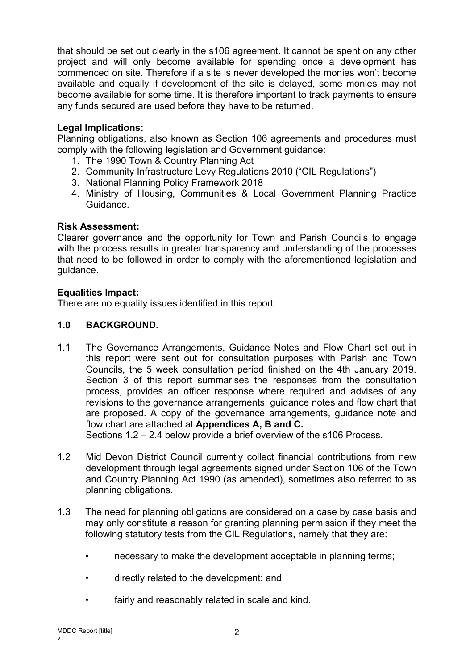that should be set out clearly in the s106 agreement. It cannot be spent on any other project and will only become available for spending once a development has commenced on site. Therefore if a site is never developed the monies won't become available and equally if development of the site is delayed, some monies may not become available for some time. It is therefore important to track payments to ensure any funds secured are used before they have to be returned.

### **Legal Implications:**

Planning obligations, also known as Section 106 agreements and procedures must comply with the following legislation and Government guidance:

- 1. The 1990 Town & Country Planning Act
- 2. Community Infrastructure Levy Regulations 2010 ("CIL Regulations")
- 3. National Planning Policy Framework 2018
- 4. Ministry of Housing, Communities & Local Government Planning Practice Guidance.

#### **Risk Assessment:**

Clearer governance and the opportunity for Town and Parish Councils to engage with the process results in greater transparency and understanding of the processes that need to be followed in order to comply with the aforementioned legislation and guidance.

#### **Equalities Impact:**

There are no equality issues identified in this report.

# **1.0 BACKGROUND.**

1.1 The Governance Arrangements, Guidance Notes and Flow Chart set out in this report were sent out for consultation purposes with Parish and Town Councils, the 5 week consultation period finished on the 4th January 2019. Section 3 of this report summarises the responses from the consultation process, provides an officer response where required and advises of any revisions to the governance arrangements, guidance notes and flow chart that are proposed. A copy of the governance arrangements, guidance note and flow chart are attached at **Appendices A, B and C.**

Sections 1.2 – 2.4 below provide a brief overview of the s106 Process.

- 1.2 Mid Devon District Council currently collect financial contributions from new development through legal agreements signed under Section 106 of the Town and Country Planning Act 1990 (as amended), sometimes also referred to as planning obligations.
- 1.3 The need for planning obligations are considered on a case by case basis and may only constitute a reason for granting planning permission if they meet the following statutory tests from the CIL Regulations, namely that they are:
	- necessary to make the development acceptable in planning terms;
	- directly related to the development; and
	- fairly and reasonably related in scale and kind.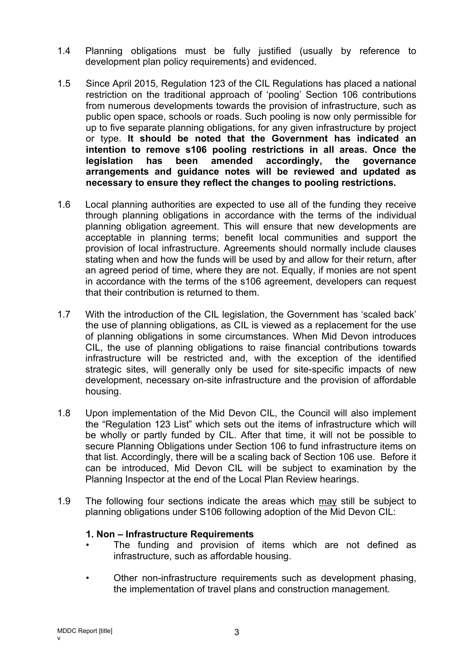- 1.4 Planning obligations must be fully justified (usually by reference to development plan policy requirements) and evidenced.
- 1.5 Since April 2015, Regulation 123 of the CIL Regulations has placed a national restriction on the traditional approach of 'pooling' Section 106 contributions from numerous developments towards the provision of infrastructure, such as public open space, schools or roads. Such pooling is now only permissible for up to five separate planning obligations, for any given infrastructure by project or type. **It should be noted that the Government has indicated an intention to remove s106 pooling restrictions in all areas. Once the legislation has been amended accordingly, the governance arrangements and guidance notes will be reviewed and updated as necessary to ensure they reflect the changes to pooling restrictions.**
- 1.6 Local planning authorities are expected to use all of the funding they receive through planning obligations in accordance with the terms of the individual planning obligation agreement. This will ensure that new developments are acceptable in planning terms; benefit local communities and support the provision of local infrastructure. Agreements should normally include clauses stating when and how the funds will be used by and allow for their return, after an agreed period of time, where they are not. Equally, if monies are not spent in accordance with the terms of the s106 agreement, developers can request that their contribution is returned to them.
- 1.7 With the introduction of the CIL legislation, the Government has 'scaled back' the use of planning obligations, as CIL is viewed as a replacement for the use of planning obligations in some circumstances. When Mid Devon introduces CIL, the use of planning obligations to raise financial contributions towards infrastructure will be restricted and, with the exception of the identified strategic sites, will generally only be used for site-specific impacts of new development, necessary on-site infrastructure and the provision of affordable housing.
- 1.8 Upon implementation of the Mid Devon CIL, the Council will also implement the "Regulation 123 List" which sets out the items of infrastructure which will be wholly or partly funded by CIL. After that time, it will not be possible to secure Planning Obligations under Section 106 to fund infrastructure items on that list. Accordingly, there will be a scaling back of Section 106 use. Before it can be introduced, Mid Devon CIL will be subject to examination by the Planning Inspector at the end of the Local Plan Review hearings.
- 1.9 The following four sections indicate the areas which may still be subject to planning obligations under S106 following adoption of the Mid Devon CIL:

#### **1. Non – Infrastructure Requirements**

- The funding and provision of items which are not defined as infrastructure, such as affordable housing.
- Other non-infrastructure requirements such as development phasing, the implementation of travel plans and construction management.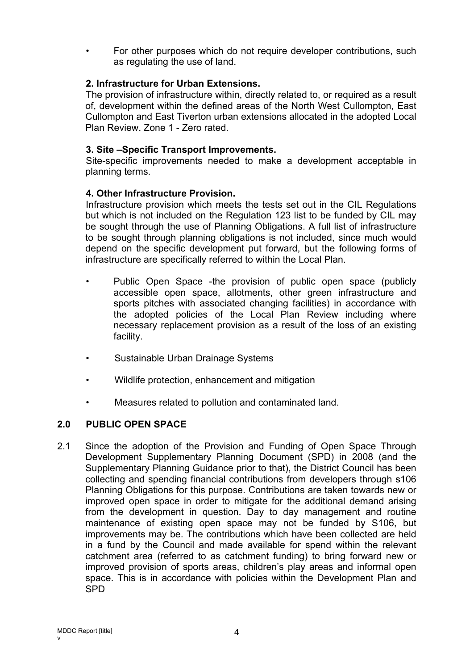• For other purposes which do not require developer contributions, such as regulating the use of land.

# **2. Infrastructure for Urban Extensions.**

The provision of infrastructure within, directly related to, or required as a result of, development within the defined areas of the North West Cullompton, East Cullompton and East Tiverton urban extensions allocated in the adopted Local Plan Review. Zone 1 - Zero rated.

# **3. Site –Specific Transport Improvements.**

Site-specific improvements needed to make a development acceptable in planning terms.

# **4. Other Infrastructure Provision.**

Infrastructure provision which meets the tests set out in the CIL Regulations but which is not included on the Regulation 123 list to be funded by CIL may be sought through the use of Planning Obligations. A full list of infrastructure to be sought through planning obligations is not included, since much would depend on the specific development put forward, but the following forms of infrastructure are specifically referred to within the Local Plan.

- Public Open Space -the provision of public open space (publicly accessible open space, allotments, other green infrastructure and sports pitches with associated changing facilities) in accordance with the adopted policies of the Local Plan Review including where necessary replacement provision as a result of the loss of an existing facility.
- Sustainable Urban Drainage Systems
- Wildlife protection, enhancement and mitigation
- Measures related to pollution and contaminated land.

# **2.0 PUBLIC OPEN SPACE**

2.1 Since the adoption of the Provision and Funding of Open Space Through Development Supplementary Planning Document (SPD) in 2008 (and the Supplementary Planning Guidance prior to that), the District Council has been collecting and spending financial contributions from developers through s106 Planning Obligations for this purpose. Contributions are taken towards new or improved open space in order to mitigate for the additional demand arising from the development in question. Day to day management and routine maintenance of existing open space may not be funded by S106, but improvements may be. The contributions which have been collected are held in a fund by the Council and made available for spend within the relevant catchment area (referred to as catchment funding) to bring forward new or improved provision of sports areas, children's play areas and informal open space. This is in accordance with policies within the Development Plan and SPD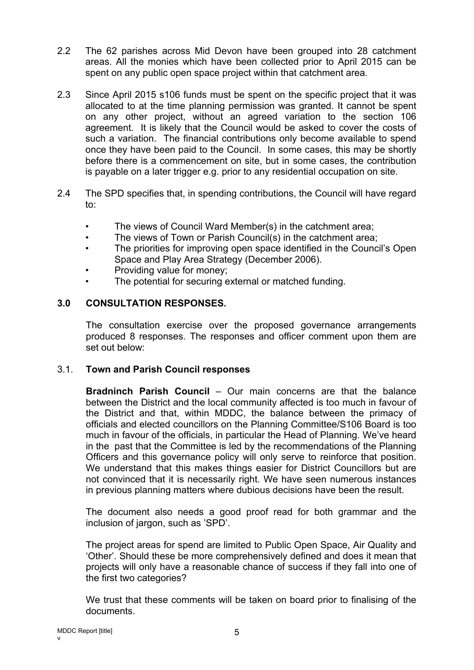- 2.2 The 62 parishes across Mid Devon have been grouped into 28 catchment areas. All the monies which have been collected prior to April 2015 can be spent on any public open space project within that catchment area.
- 2.3 Since April 2015 s106 funds must be spent on the specific project that it was allocated to at the time planning permission was granted. It cannot be spent on any other project, without an agreed variation to the section 106 agreement. It is likely that the Council would be asked to cover the costs of such a variation. The financial contributions only become available to spend once they have been paid to the Council. In some cases, this may be shortly before there is a commencement on site, but in some cases, the contribution is payable on a later trigger e.g. prior to any residential occupation on site.
- 2.4 The SPD specifies that, in spending contributions, the Council will have regard to:
	- The views of Council Ward Member(s) in the catchment area;
	- The views of Town or Parish Council(s) in the catchment area;
	- The priorities for improving open space identified in the Council's Open Space and Play Area Strategy (December 2006).
	- Providing value for money;
	- The potential for securing external or matched funding.

### **3.0 CONSULTATION RESPONSES.**

The consultation exercise over the proposed governance arrangements produced 8 responses. The responses and officer comment upon them are set out below:

#### 3.1. **Town and Parish Council responses**

**Bradninch Parish Council** – Our main concerns are that the balance between the District and the local community affected is too much in favour of the District and that, within MDDC, the balance between the primacy of officials and elected councillors on the Planning Committee/S106 Board is too much in favour of the officials, in particular the Head of Planning. We've heard in the past that the Committee is led by the recommendations of the Planning Officers and this governance policy will only serve to reinforce that position. We understand that this makes things easier for District Councillors but are not convinced that it is necessarily right. We have seen numerous instances in previous planning matters where dubious decisions have been the result.

The document also needs a good proof read for both grammar and the inclusion of jargon, such as 'SPD'.

The project areas for spend are limited to Public Open Space, Air Quality and 'Other'. Should these be more comprehensively defined and does it mean that projects will only have a reasonable chance of success if they fall into one of the first two categories?

We trust that these comments will be taken on board prior to finalising of the documents.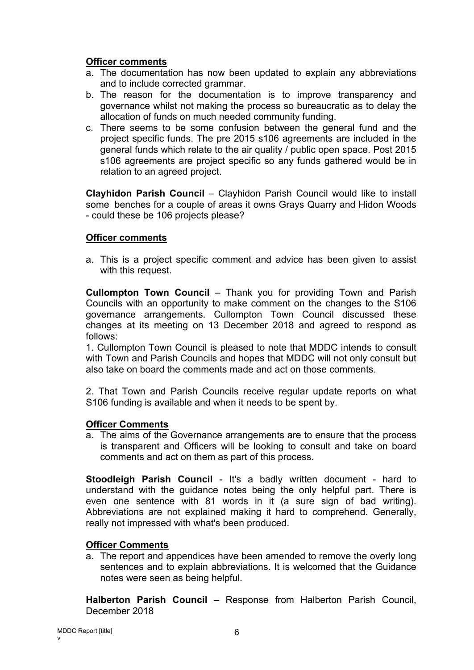### **Officer comments**

- a. The documentation has now been updated to explain any abbreviations and to include corrected grammar.
- b. The reason for the documentation is to improve transparency and governance whilst not making the process so bureaucratic as to delay the allocation of funds on much needed community funding.
- c. There seems to be some confusion between the general fund and the project specific funds. The pre 2015 s106 agreements are included in the general funds which relate to the air quality / public open space. Post 2015 s106 agreements are project specific so any funds gathered would be in relation to an agreed project.

**Clayhidon Parish Council** – Clayhidon Parish Council would like to install some benches for a couple of areas it owns Grays Quarry and Hidon Woods - could these be 106 projects please?

#### **Officer comments**

a. This is a project specific comment and advice has been given to assist with this request.

**Cullompton Town Council** – Thank you for providing Town and Parish Councils with an opportunity to make comment on the changes to the S106 governance arrangements. Cullompton Town Council discussed these changes at its meeting on 13 December 2018 and agreed to respond as follows:

1. Cullompton Town Council is pleased to note that MDDC intends to consult with Town and Parish Councils and hopes that MDDC will not only consult but also take on board the comments made and act on those comments.

2. That Town and Parish Councils receive regular update reports on what S106 funding is available and when it needs to be spent by.

#### **Officer Comments**

a. The aims of the Governance arrangements are to ensure that the process is transparent and Officers will be looking to consult and take on board comments and act on them as part of this process.

**Stoodleigh Parish Council** - It's a badly written document - hard to understand with the guidance notes being the only helpful part. There is even one sentence with 81 words in it (a sure sign of bad writing). Abbreviations are not explained making it hard to comprehend. Generally, really not impressed with what's been produced.

#### **Officer Comments**

a. The report and appendices have been amended to remove the overly long sentences and to explain abbreviations. It is welcomed that the Guidance notes were seen as being helpful.

**Halberton Parish Council** – Response from Halberton Parish Council, December 2018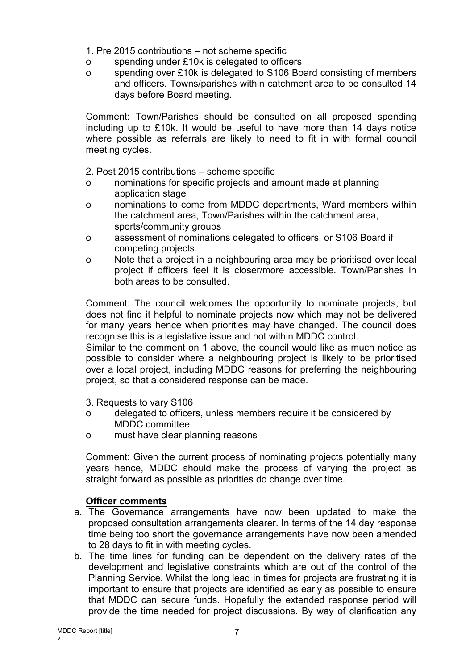- 1. Pre 2015 contributions not scheme specific
- o spending under £10k is delegated to officers
- o spending over £10k is delegated to S106 Board consisting of members and officers. Towns/parishes within catchment area to be consulted 14 days before Board meeting.

Comment: Town/Parishes should be consulted on all proposed spending including up to £10k. It would be useful to have more than 14 days notice where possible as referrals are likely to need to fit in with formal council meeting cycles.

2. Post 2015 contributions – scheme specific

- o nominations for specific projects and amount made at planning application stage
- o nominations to come from MDDC departments, Ward members within the catchment area, Town/Parishes within the catchment area, sports/community groups
- o assessment of nominations delegated to officers, or S106 Board if competing projects.
- o Note that a project in a neighbouring area may be prioritised over local project if officers feel it is closer/more accessible. Town/Parishes in both areas to be consulted.

Comment: The council welcomes the opportunity to nominate projects, but does not find it helpful to nominate projects now which may not be delivered for many years hence when priorities may have changed. The council does recognise this is a legislative issue and not within MDDC control.

Similar to the comment on 1 above, the council would like as much notice as possible to consider where a neighbouring project is likely to be prioritised over a local project, including MDDC reasons for preferring the neighbouring project, so that a considered response can be made.

- 3. Requests to vary S106
- o delegated to officers, unless members require it be considered by MDDC committee
- o must have clear planning reasons

Comment: Given the current process of nominating projects potentially many years hence, MDDC should make the process of varying the project as straight forward as possible as priorities do change over time.

# **Officer comments**

- a. The Governance arrangements have now been updated to make the proposed consultation arrangements clearer. In terms of the 14 day response time being too short the governance arrangements have now been amended to 28 days to fit in with meeting cycles.
- b. The time lines for funding can be dependent on the delivery rates of the development and legislative constraints which are out of the control of the Planning Service. Whilst the long lead in times for projects are frustrating it is important to ensure that projects are identified as early as possible to ensure that MDDC can secure funds. Hopefully the extended response period will provide the time needed for project discussions. By way of clarification any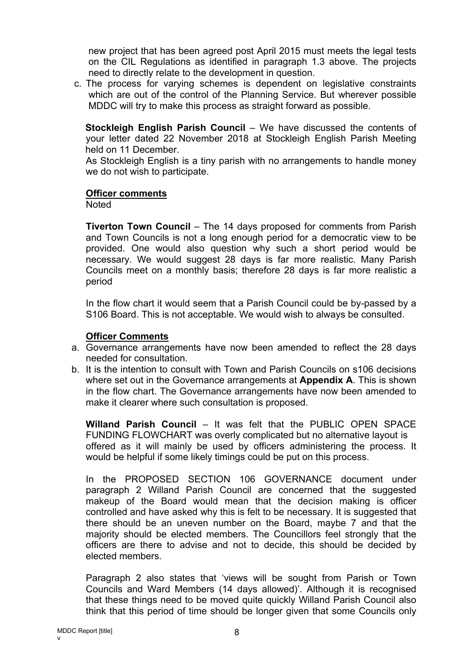new project that has been agreed post April 2015 must meets the legal tests on the CIL Regulations as identified in paragraph 1.3 above. The projects need to directly relate to the development in question.

c. The process for varying schemes is dependent on legislative constraints which are out of the control of the Planning Service. But wherever possible MDDC will try to make this process as straight forward as possible.

**Stockleigh English Parish Council** – We have discussed the contents of your letter dated 22 November 2018 at Stockleigh English Parish Meeting held on 11 December.

As Stockleigh English is a tiny parish with no arrangements to handle money we do not wish to participate.

#### **Officer comments**

**Noted** 

**Tiverton Town Council** – The 14 days proposed for comments from Parish and Town Councils is not a long enough period for a democratic view to be provided. One would also question why such a short period would be necessary. We would suggest 28 days is far more realistic. Many Parish Councils meet on a monthly basis; therefore 28 days is far more realistic a period

In the flow chart it would seem that a Parish Council could be by-passed by a S106 Board. This is not acceptable. We would wish to always be consulted.

#### **Officer Comments**

- a. Governance arrangements have now been amended to reflect the 28 days needed for consultation.
- b. It is the intention to consult with Town and Parish Councils on s106 decisions where set out in the Governance arrangements at **Appendix A**. This is shown in the flow chart. The Governance arrangements have now been amended to make it clearer where such consultation is proposed.

**Willand Parish Council** – It was felt that the PUBLIC OPEN SPACE FUNDING FLOWCHART was overly complicated but no alternative layout is offered as it will mainly be used by officers administering the process. It would be helpful if some likely timings could be put on this process.

In the PROPOSED SECTION 106 GOVERNANCE document under paragraph 2 Willand Parish Council are concerned that the suggested makeup of the Board would mean that the decision making is officer controlled and have asked why this is felt to be necessary. It is suggested that there should be an uneven number on the Board, maybe 7 and that the majority should be elected members. The Councillors feel strongly that the officers are there to advise and not to decide, this should be decided by elected members.

Paragraph 2 also states that 'views will be sought from Parish or Town Councils and Ward Members (14 days allowed)'. Although it is recognised that these things need to be moved quite quickly Willand Parish Council also think that this period of time should be longer given that some Councils only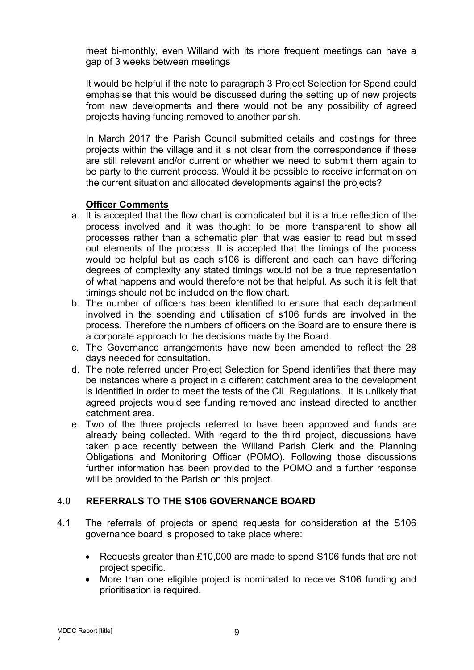meet bi-monthly, even Willand with its more frequent meetings can have a gap of 3 weeks between meetings

It would be helpful if the note to paragraph 3 Project Selection for Spend could emphasise that this would be discussed during the setting up of new projects from new developments and there would not be any possibility of agreed projects having funding removed to another parish.

In March 2017 the Parish Council submitted details and costings for three projects within the village and it is not clear from the correspondence if these are still relevant and/or current or whether we need to submit them again to be party to the current process. Would it be possible to receive information on the current situation and allocated developments against the projects?

### **Officer Comments**

- a. It is accepted that the flow chart is complicated but it is a true reflection of the process involved and it was thought to be more transparent to show all processes rather than a schematic plan that was easier to read but missed out elements of the process. It is accepted that the timings of the process would be helpful but as each s106 is different and each can have differing degrees of complexity any stated timings would not be a true representation of what happens and would therefore not be that helpful. As such it is felt that timings should not be included on the flow chart.
- b. The number of officers has been identified to ensure that each department involved in the spending and utilisation of s106 funds are involved in the process. Therefore the numbers of officers on the Board are to ensure there is a corporate approach to the decisions made by the Board.
- c. The Governance arrangements have now been amended to reflect the 28 days needed for consultation.
- d. The note referred under Project Selection for Spend identifies that there may be instances where a project in a different catchment area to the development is identified in order to meet the tests of the CIL Regulations. It is unlikely that agreed projects would see funding removed and instead directed to another catchment area.
- e. Two of the three projects referred to have been approved and funds are already being collected. With regard to the third project, discussions have taken place recently between the Willand Parish Clerk and the Planning Obligations and Monitoring Officer (POMO). Following those discussions further information has been provided to the POMO and a further response will be provided to the Parish on this project.

# 4.0 **REFERRALS TO THE S106 GOVERNANCE BOARD**

- 4.1 The referrals of projects or spend requests for consideration at the S106 governance board is proposed to take place where:
	- Requests greater than £10,000 are made to spend S106 funds that are not project specific.
	- More than one eligible project is nominated to receive S106 funding and prioritisation is required.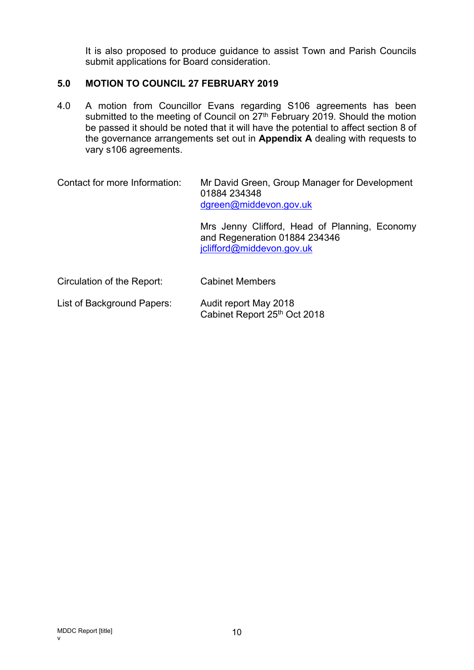It is also proposed to produce guidance to assist Town and Parish Councils submit applications for Board consideration.

# **5.0 MOTION TO COUNCIL 27 FEBRUARY 2019**

4.0 A motion from Councillor Evans regarding S106 agreements has been submitted to the meeting of Council on 27<sup>th</sup> February 2019. Should the motion be passed it should be noted that it will have the potential to affect section 8 of the governance arrangements set out in **Appendix A** dealing with requests to vary s106 agreements.

| Contact for more Information: | Mr David Green, Group Manager for Development<br>01884 234348<br>dgreen@middevon.gov.uk                     |  |  |  |  |
|-------------------------------|-------------------------------------------------------------------------------------------------------------|--|--|--|--|
|                               | Mrs Jenny Clifford, Head of Planning, Economy<br>and Regeneration 01884 234346<br>jclifford@middevon.gov.uk |  |  |  |  |
| Circulation of the Report:    | <b>Cabinet Members</b>                                                                                      |  |  |  |  |

List of Background Papers: Audit report May 2018 Cabinet Report 25th Oct 2018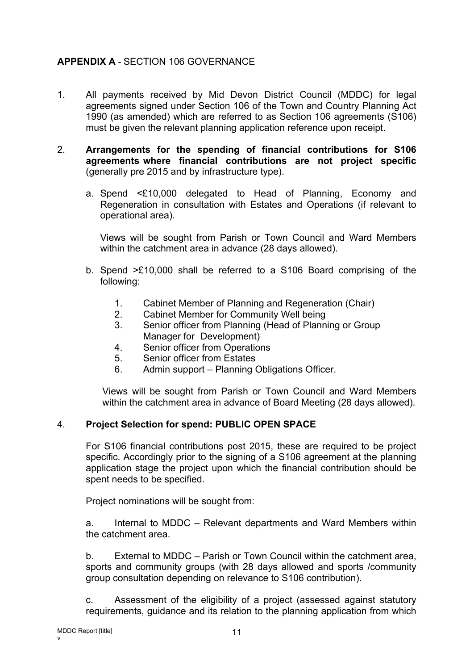# **APPENDIX A** - SECTION 106 GOVERNANCE

- 1. All payments received by Mid Devon District Council (MDDC) for legal agreements signed under Section 106 of the Town and Country Planning Act 1990 (as amended) which are referred to as Section 106 agreements (S106) must be given the relevant planning application reference upon receipt.
- 2. **Arrangements for the spending of financial contributions for S106 agreements where financial contributions are not project specific** (generally pre 2015 and by infrastructure type).
	- a. Spend <£10,000 delegated to Head of Planning, Economy and Regeneration in consultation with Estates and Operations (if relevant to operational area).

Views will be sought from Parish or Town Council and Ward Members within the catchment area in advance (28 days allowed).

- b. Spend >£10,000 shall be referred to a S106 Board comprising of the following:
	- 1. Cabinet Member of Planning and Regeneration (Chair)
	- 2. Cabinet Member for Community Well being
	- 3. Senior officer from Planning (Head of Planning or Group Manager for Development)
	- 4. Senior officer from Operations
	- 5. Senior officer from Estates
	- 6. Admin support Planning Obligations Officer.

Views will be sought from Parish or Town Council and Ward Members within the catchment area in advance of Board Meeting (28 days allowed).

# 4. **Project Selection for spend: PUBLIC OPEN SPACE**

For S106 financial contributions post 2015, these are required to be project specific. Accordingly prior to the signing of a S106 agreement at the planning application stage the project upon which the financial contribution should be spent needs to be specified.

Project nominations will be sought from:

a. Internal to MDDC – Relevant departments and Ward Members within the catchment area.

b. External to MDDC – Parish or Town Council within the catchment area, sports and community groups (with 28 days allowed and sports /community group consultation depending on relevance to S106 contribution).

c. Assessment of the eligibility of a project (assessed against statutory requirements, guidance and its relation to the planning application from which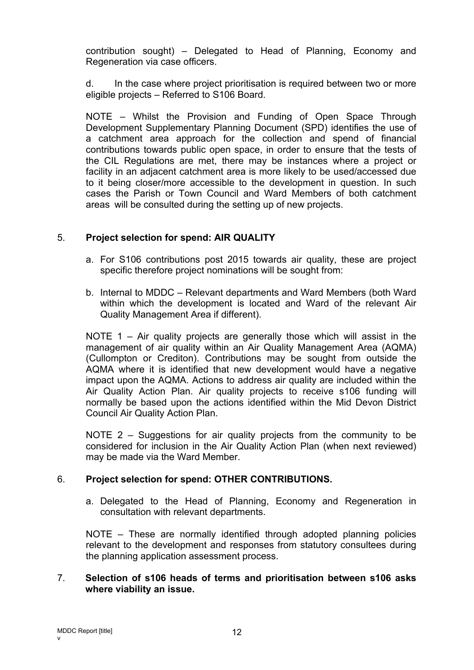contribution sought) – Delegated to Head of Planning, Economy and Regeneration via case officers.

d. In the case where project prioritisation is required between two or more eligible projects – Referred to S106 Board.

NOTE – Whilst the Provision and Funding of Open Space Through Development Supplementary Planning Document (SPD) identifies the use of a catchment area approach for the collection and spend of financial contributions towards public open space, in order to ensure that the tests of the CIL Regulations are met, there may be instances where a project or facility in an adjacent catchment area is more likely to be used/accessed due to it being closer/more accessible to the development in question. In such cases the Parish or Town Council and Ward Members of both catchment areas will be consulted during the setting up of new projects.

### 5. **Project selection for spend: AIR QUALITY**

- a. For S106 contributions post 2015 towards air quality, these are project specific therefore project nominations will be sought from:
- b. Internal to MDDC Relevant departments and Ward Members (both Ward within which the development is located and Ward of the relevant Air Quality Management Area if different).

NOTE 1 – Air quality projects are generally those which will assist in the management of air quality within an Air Quality Management Area (AQMA) (Cullompton or Crediton). Contributions may be sought from outside the AQMA where it is identified that new development would have a negative impact upon the AQMA. Actions to address air quality are included within the Air Quality Action Plan. Air quality projects to receive s106 funding will normally be based upon the actions identified within the Mid Devon District Council Air Quality Action Plan.

NOTE 2 – Suggestions for air quality projects from the community to be considered for inclusion in the Air Quality Action Plan (when next reviewed) may be made via the Ward Member.

# 6. **Project selection for spend: OTHER CONTRIBUTIONS.**

a. Delegated to the Head of Planning, Economy and Regeneration in consultation with relevant departments.

NOTE – These are normally identified through adopted planning policies relevant to the development and responses from statutory consultees during the planning application assessment process.

#### 7. **Selection of s106 heads of terms and prioritisation between s106 asks where viability an issue.**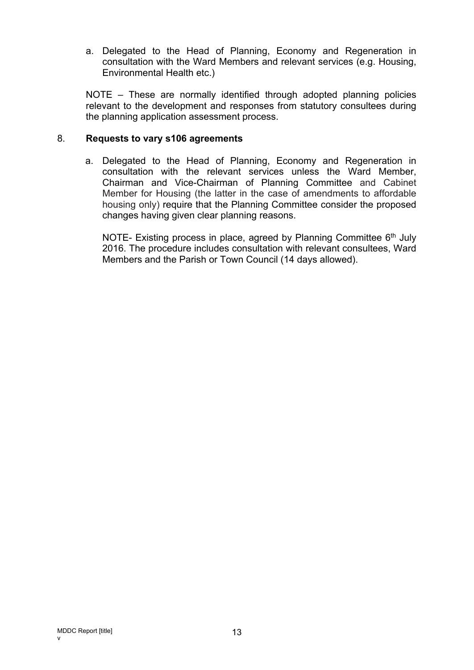a. Delegated to the Head of Planning, Economy and Regeneration in consultation with the Ward Members and relevant services (e.g. Housing, Environmental Health etc.)

NOTE – These are normally identified through adopted planning policies relevant to the development and responses from statutory consultees during the planning application assessment process.

#### 8. **Requests to vary s106 agreements**

a. Delegated to the Head of Planning, Economy and Regeneration in consultation with the relevant services unless the Ward Member, Chairman and Vice-Chairman of Planning Committee and Cabinet Member for Housing (the latter in the case of amendments to affordable housing only) require that the Planning Committee consider the proposed changes having given clear planning reasons.

NOTE- Existing process in place, agreed by Planning Committee 6<sup>th</sup> July 2016. The procedure includes consultation with relevant consultees, Ward Members and the Parish or Town Council (14 days allowed).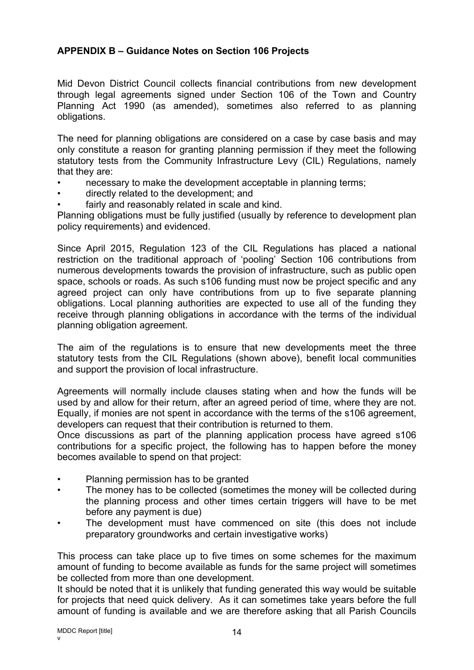# **APPENDIX B – Guidance Notes on Section 106 Projects**

Mid Devon District Council collects financial contributions from new development through legal agreements signed under Section 106 of the Town and Country Planning Act 1990 (as amended), sometimes also referred to as planning obligations.

The need for planning obligations are considered on a case by case basis and may only constitute a reason for granting planning permission if they meet the following statutory tests from the Community Infrastructure Levy (CIL) Regulations, namely that they are:

- necessary to make the development acceptable in planning terms;
- directly related to the development; and
- fairly and reasonably related in scale and kind.

Planning obligations must be fully justified (usually by reference to development plan policy requirements) and evidenced.

Since April 2015, Regulation 123 of the CIL Regulations has placed a national restriction on the traditional approach of 'pooling' Section 106 contributions from numerous developments towards the provision of infrastructure, such as public open space, schools or roads. As such s106 funding must now be project specific and any agreed project can only have contributions from up to five separate planning obligations. Local planning authorities are expected to use all of the funding they receive through planning obligations in accordance with the terms of the individual planning obligation agreement.

The aim of the regulations is to ensure that new developments meet the three statutory tests from the CIL Regulations (shown above), benefit local communities and support the provision of local infrastructure.

Agreements will normally include clauses stating when and how the funds will be used by and allow for their return, after an agreed period of time, where they are not. Equally, if monies are not spent in accordance with the terms of the s106 agreement, developers can request that their contribution is returned to them.

Once discussions as part of the planning application process have agreed s106 contributions for a specific project, the following has to happen before the money becomes available to spend on that project:

- Planning permission has to be granted
- The money has to be collected (sometimes the money will be collected during the planning process and other times certain triggers will have to be met before any payment is due)
- The development must have commenced on site (this does not include preparatory groundworks and certain investigative works)

This process can take place up to five times on some schemes for the maximum amount of funding to become available as funds for the same project will sometimes be collected from more than one development.

It should be noted that it is unlikely that funding generated this way would be suitable for projects that need quick delivery. As it can sometimes take years before the full amount of funding is available and we are therefore asking that all Parish Councils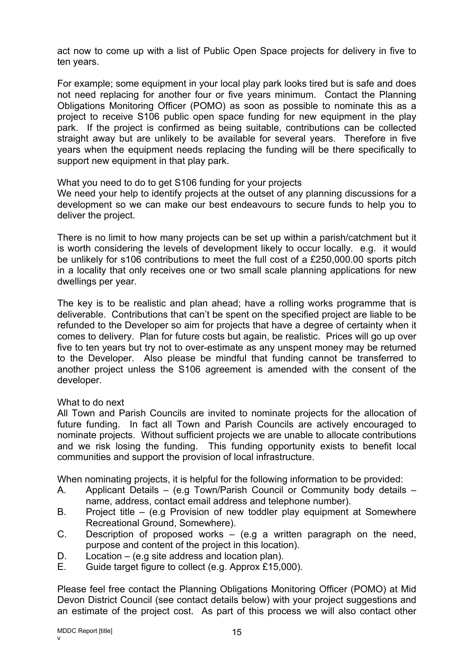act now to come up with a list of Public Open Space projects for delivery in five to ten years.

For example; some equipment in your local play park looks tired but is safe and does not need replacing for another four or five years minimum. Contact the Planning Obligations Monitoring Officer (POMO) as soon as possible to nominate this as a project to receive S106 public open space funding for new equipment in the play park. If the project is confirmed as being suitable, contributions can be collected straight away but are unlikely to be available for several years. Therefore in five years when the equipment needs replacing the funding will be there specifically to support new equipment in that play park.

What you need to do to get S106 funding for your projects

We need your help to identify projects at the outset of any planning discussions for a development so we can make our best endeavours to secure funds to help you to deliver the project.

There is no limit to how many projects can be set up within a parish/catchment but it is worth considering the levels of development likely to occur locally. e.g. it would be unlikely for s106 contributions to meet the full cost of a £250,000.00 sports pitch in a locality that only receives one or two small scale planning applications for new dwellings per year.

The key is to be realistic and plan ahead; have a rolling works programme that is deliverable. Contributions that can't be spent on the specified project are liable to be refunded to the Developer so aim for projects that have a degree of certainty when it comes to delivery. Plan for future costs but again, be realistic. Prices will go up over five to ten years but try not to over-estimate as any unspent money may be returned to the Developer. Also please be mindful that funding cannot be transferred to another project unless the S106 agreement is amended with the consent of the developer.

#### What to do next

All Town and Parish Councils are invited to nominate projects for the allocation of future funding. In fact all Town and Parish Councils are actively encouraged to nominate projects. Without sufficient projects we are unable to allocate contributions and we risk losing the funding. This funding opportunity exists to benefit local communities and support the provision of local infrastructure.

When nominating projects, it is helpful for the following information to be provided:

- A. Applicant Details (e.g Town/Parish Council or Community body details name, address, contact email address and telephone number).
- B. Project title (e.g Provision of new toddler play equipment at Somewhere Recreational Ground, Somewhere).
- C. Description of proposed works (e.g a written paragraph on the need, purpose and content of the project in this location).
- D. Location (e.g site address and location plan).
- E. Guide target figure to collect (e.g. Approx £15,000).

Please feel free contact the Planning Obligations Monitoring Officer (POMO) at Mid Devon District Council (see contact details below) with your project suggestions and an estimate of the project cost. As part of this process we will also contact other